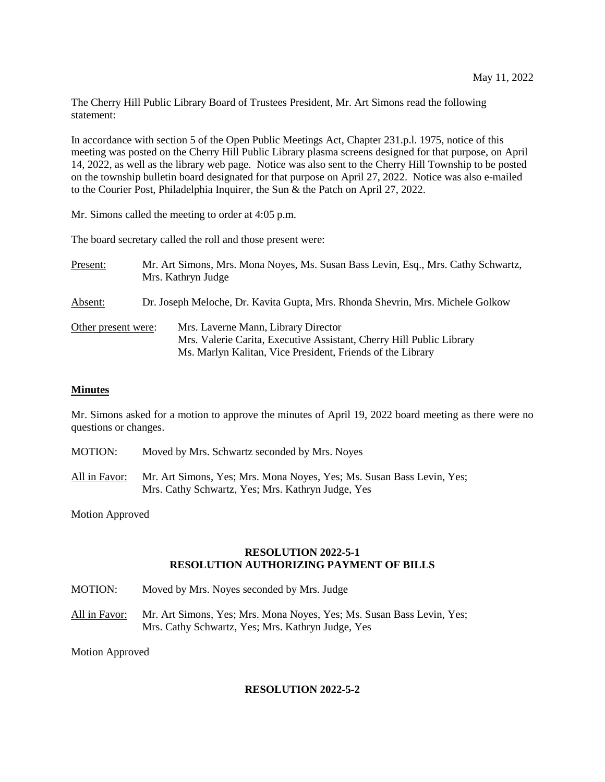The Cherry Hill Public Library Board of Trustees President, Mr. Art Simons read the following statement:

In accordance with section 5 of the Open Public Meetings Act, Chapter 231.p.l. 1975, notice of this meeting was posted on the Cherry Hill Public Library plasma screens designed for that purpose, on April 14, 2022, as well as the library web page. Notice was also sent to the Cherry Hill Township to be posted on the township bulletin board designated for that purpose on April 27, 2022. Notice was also e-mailed to the Courier Post, Philadelphia Inquirer, the Sun & the Patch on April 27, 2022.

Mr. Simons called the meeting to order at 4:05 p.m.

The board secretary called the roll and those present were:

| Present:            | Mr. Art Simons, Mrs. Mona Noyes, Ms. Susan Bass Levin, Esq., Mrs. Cathy Schwartz,<br>Mrs. Kathryn Judge |                                                                                                                                                                           |
|---------------------|---------------------------------------------------------------------------------------------------------|---------------------------------------------------------------------------------------------------------------------------------------------------------------------------|
| Absent:             | Dr. Joseph Meloche, Dr. Kavita Gupta, Mrs. Rhonda Shevrin, Mrs. Michele Golkow                          |                                                                                                                                                                           |
| Other present were: |                                                                                                         | Mrs. Laverne Mann, Library Director<br>Mrs. Valerie Carita, Executive Assistant, Cherry Hill Public Library<br>Ms. Marlyn Kalitan, Vice President, Friends of the Library |

#### **Minutes**

Mr. Simons asked for a motion to approve the minutes of April 19, 2022 board meeting as there were no questions or changes.

- MOTION: Moved by Mrs. Schwartz seconded by Mrs. Noyes
- All in Favor: Mr. Art Simons, Yes; Mrs. Mona Noyes, Yes; Ms. Susan Bass Levin, Yes; Mrs. Cathy Schwartz, Yes; Mrs. Kathryn Judge, Yes

Motion Approved

## **RESOLUTION 2022-5-1 RESOLUTION AUTHORIZING PAYMENT OF BILLS**

- MOTION: Moved by Mrs. Noyes seconded by Mrs. Judge
- All in Favor: Mr. Art Simons, Yes; Mrs. Mona Noyes, Yes; Ms. Susan Bass Levin, Yes; Mrs. Cathy Schwartz, Yes; Mrs. Kathryn Judge, Yes

Motion Approved

# **RESOLUTION 2022-5-2**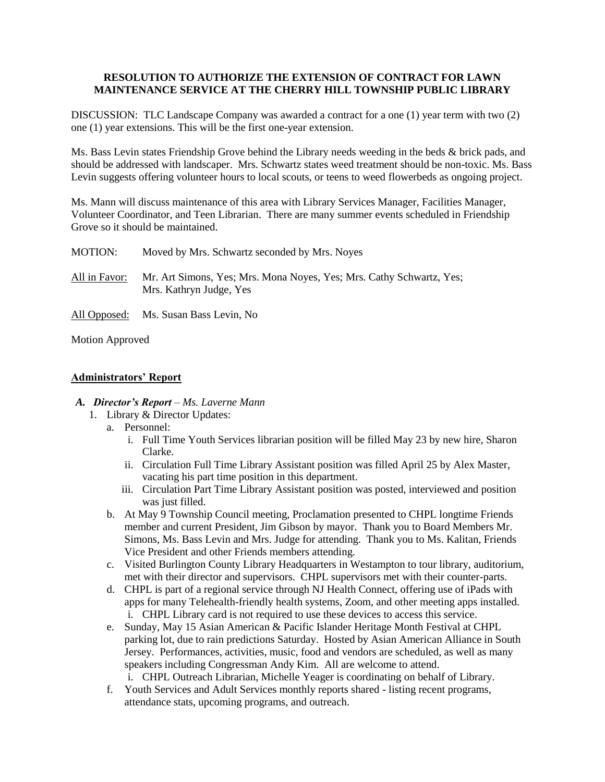# **RESOLUTION TO AUTHORIZE THE EXTENSION OF CONTRACT FOR LAWN MAINTENANCE SERVICE AT THE CHERRY HILL TOWNSHIP PUBLIC LIBRARY**

DISCUSSION: TLC Landscape Company was awarded a contract for a one (1) year term with two (2) one (1) year extensions. This will be the first one-year extension.

Ms. Bass Levin states Friendship Grove behind the Library needs weeding in the beds & brick pads, and should be addressed with landscaper. Mrs. Schwartz states weed treatment should be non-toxic. Ms. Bass Levin suggests offering volunteer hours to local scouts, or teens to weed flowerbeds as ongoing project.

Ms. Mann will discuss maintenance of this area with Library Services Manager, Facilities Manager, Volunteer Coordinator, and Teen Librarian. There are many summer events scheduled in Friendship Grove so it should be maintained.

| MOTION:       | Moved by Mrs. Schwartz seconded by Mrs. Noyes                                                   |
|---------------|-------------------------------------------------------------------------------------------------|
| All in Favor: | Mr. Art Simons, Yes; Mrs. Mona Noyes, Yes; Mrs. Cathy Schwartz, Yes;<br>Mrs. Kathryn Judge, Yes |
|               | All Opposed: Ms. Susan Bass Levin, No                                                           |

Motion Approved

# **Administrators' Report**

## *A. Director's Report – Ms. Laverne Mann*

- 1. Library & Director Updates:
	- a. Personnel:
		- i. Full Time Youth Services librarian position will be filled May 23 by new hire, Sharon Clarke.
		- ii. Circulation Full Time Library Assistant position was filled April 25 by Alex Master, vacating his part time position in this department.
		- iii. Circulation Part Time Library Assistant position was posted, interviewed and position was just filled.
	- b. At May 9 Township Council meeting, Proclamation presented to CHPL longtime Friends member and current President, Jim Gibson by mayor. Thank you to Board Members Mr. Simons, Ms. Bass Levin and Mrs. Judge for attending. Thank you to Ms. Kalitan, Friends Vice President and other Friends members attending.
	- c. Visited Burlington County Library Headquarters in Westampton to tour library, auditorium, met with their director and supervisors. CHPL supervisors met with their counter-parts.
	- d. CHPL is part of a regional service through NJ Health Connect, offering use of iPads with apps for many Telehealth-friendly health systems, Zoom, and other meeting apps installed. i. CHPL Library card is not required to use these devices to access this service.
	- e. Sunday, May 15 Asian American & Pacific Islander Heritage Month Festival at CHPL parking lot, due to rain predictions Saturday. Hosted by Asian American Alliance in South Jersey. Performances, activities, music, food and vendors are scheduled, as well as many speakers including Congressman Andy Kim. All are welcome to attend.
		- i. CHPL Outreach Librarian, Michelle Yeager is coordinating on behalf of Library.
	- f. Youth Services and Adult Services monthly reports shared listing recent programs, attendance stats, upcoming programs, and outreach.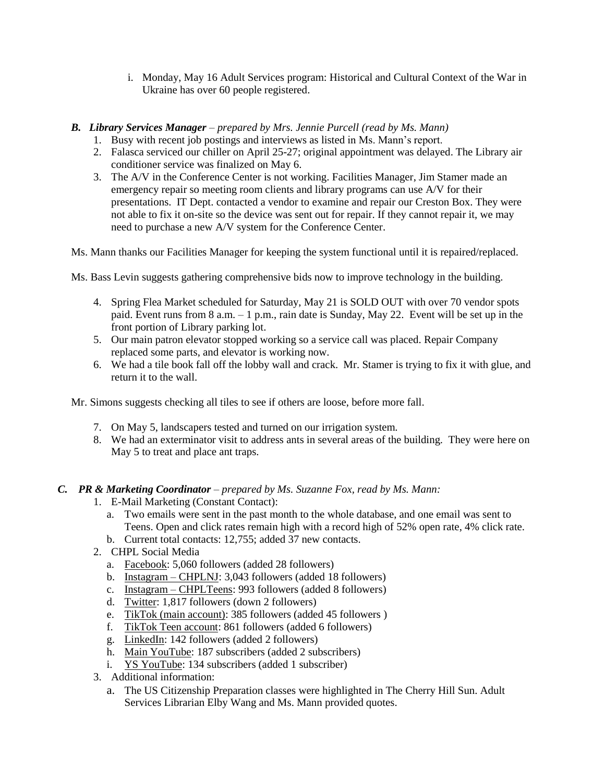- i. Monday, May 16 Adult Services program: Historical and Cultural Context of the War in Ukraine has over 60 people registered.
- *B. Library Services Manager – prepared by Mrs. Jennie Purcell (read by Ms. Mann)*
	- 1. Busy with recent job postings and interviews as listed in Ms. Mann's report.
	- 2. Falasca serviced our chiller on April 25-27; original appointment was delayed. The Library air conditioner service was finalized on May 6.
	- 3. The A/V in the Conference Center is not working. Facilities Manager, Jim Stamer made an emergency repair so meeting room clients and library programs can use A/V for their presentations. IT Dept. contacted a vendor to examine and repair our Creston Box. They were not able to fix it on-site so the device was sent out for repair. If they cannot repair it, we may need to purchase a new A/V system for the Conference Center.

Ms. Mann thanks our Facilities Manager for keeping the system functional until it is repaired/replaced.

Ms. Bass Levin suggests gathering comprehensive bids now to improve technology in the building.

- 4. Spring Flea Market scheduled for Saturday, May 21 is SOLD OUT with over 70 vendor spots paid. Event runs from 8 a.m. – 1 p.m., rain date is Sunday, May 22. Event will be set up in the front portion of Library parking lot.
- 5. Our main patron elevator stopped working so a service call was placed. Repair Company replaced some parts, and elevator is working now.
- 6. We had a tile book fall off the lobby wall and crack. Mr. Stamer is trying to fix it with glue, and return it to the wall.

Mr. Simons suggests checking all tiles to see if others are loose, before more fall.

- 7. On May 5, landscapers tested and turned on our irrigation system.
- 8. We had an exterminator visit to address ants in several areas of the building. They were here on May 5 to treat and place ant traps.

# *C. PR & Marketing Coordinator – prepared by Ms. Suzanne Fox, read by Ms. Mann:*

- 1. E-Mail Marketing (Constant Contact):
	- a. Two emails were sent in the past month to the whole database, and one email was sent to Teens. Open and click rates remain high with a record high of 52% open rate, 4% click rate.
	- b. Current total contacts: 12,755; added 37 new contacts.
- 2. CHPL Social Media
	- a. Facebook: 5,060 followers (added 28 followers)
	- b. Instagram CHPLNJ: 3,043 followers (added 18 followers)
	- c. Instagram CHPLTeens: 993 followers (added 8 followers)
	- d. Twitter: 1,817 followers (down 2 followers)
	- e. TikTok (main account): 385 followers (added 45 followers )
	- f. TikTok Teen account: 861 followers (added 6 followers)
	- g. LinkedIn: 142 followers (added 2 followers)
	- h. Main YouTube: 187 subscribers (added 2 subscribers)
	- i. YS YouTube: 134 subscribers (added 1 subscriber)
- 3. Additional information:
	- a. The US Citizenship Preparation classes were highlighted in The Cherry Hill Sun. Adult Services Librarian Elby Wang and Ms. Mann provided quotes.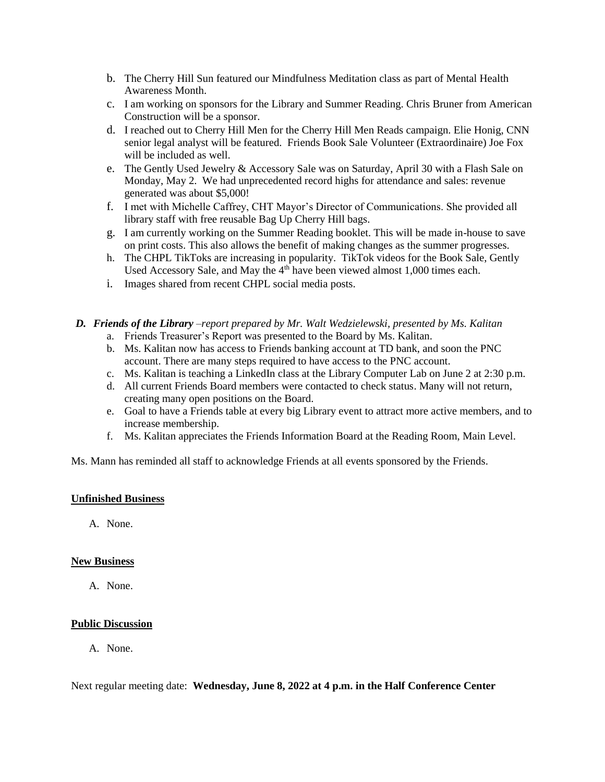- b. The Cherry Hill Sun featured our Mindfulness Meditation class as part of Mental Health Awareness Month.
- c. I am working on sponsors for the Library and Summer Reading. Chris Bruner from American Construction will be a sponsor.
- d. I reached out to Cherry Hill Men for the Cherry Hill Men Reads campaign. Elie Honig, CNN senior legal analyst will be featured. Friends Book Sale Volunteer (Extraordinaire) Joe Fox will be included as well.
- e. The Gently Used Jewelry & Accessory Sale was on Saturday, April 30 with a Flash Sale on Monday, May 2. We had unprecedented record highs for attendance and sales: revenue generated was about \$5,000!
- f. I met with Michelle Caffrey, CHT Mayor's Director of Communications. She provided all library staff with free reusable Bag Up Cherry Hill bags.
- g. I am currently working on the Summer Reading booklet. This will be made in-house to save on print costs. This also allows the benefit of making changes as the summer progresses.
- h. The CHPL TikToks are increasing in popularity. TikTok videos for the Book Sale, Gently Used Accessory Sale, and May the  $4<sup>th</sup>$  have been viewed almost 1,000 times each.
- i. Images shared from recent CHPL social media posts.
- *D. Friends of the Library –report prepared by Mr. Walt Wedzielewski, presented by Ms. Kalitan* a. Friends Treasurer's Report was presented to the Board by Ms. Kalitan.
	- b. Ms. Kalitan now has access to Friends banking account at TD bank, and soon the PNC account. There are many steps required to have access to the PNC account.
	- c. Ms. Kalitan is teaching a LinkedIn class at the Library Computer Lab on June 2 at 2:30 p.m.
	- d. All current Friends Board members were contacted to check status. Many will not return, creating many open positions on the Board.
	- e. Goal to have a Friends table at every big Library event to attract more active members, and to increase membership.
	- f. Ms. Kalitan appreciates the Friends Information Board at the Reading Room, Main Level.

Ms. Mann has reminded all staff to acknowledge Friends at all events sponsored by the Friends.

#### **Unfinished Business**

A. None.

## **New Business**

A. None.

#### **Public Discussion**

A. None.

Next regular meeting date: **Wednesday, June 8, 2022 at 4 p.m. in the Half Conference Center**